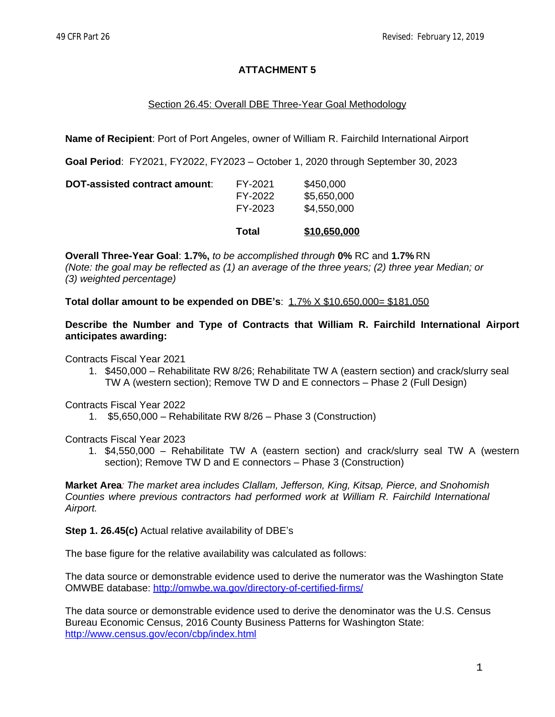# **ATTACHMENT 5**

## Section 26.45: Overall DBE Three-Year Goal Methodology

**Name of Recipient**: Port of Port Angeles, owner of William R. Fairchild International Airport

**Goal Period**: FY2021, FY2022, FY2023 – October 1, 2020 through September 30, 2023

|                               | Total              | \$10,650,000               |
|-------------------------------|--------------------|----------------------------|
|                               | FY-2022<br>FY-2023 | \$5,650,000<br>\$4,550,000 |
| DOT-assisted contract amount: | FY-2021            | \$450,000                  |

**Overall Three-Year Goal**: **1.7%,** *to be accomplished through* **0%** RC and **1.7%** RN *(Note: the goal may be reflected as (1) an average of the three years; (2) three year Median; or (3) weighted percentage)*

**Total dollar amount to be expended on DBE's**: 1.7% X \$10,650,000= \$181,050

**Describe the Number and Type of Contracts that William R. Fairchild International Airport anticipates awarding:**

Contracts Fiscal Year 2021

1. \$450,000 – Rehabilitate RW 8/26; Rehabilitate TW A (eastern section) and crack/slurry seal TW A (western section); Remove TW D and E connectors – Phase 2 (Full Design)

Contracts Fiscal Year 2022

1. \$5,650,000 – Rehabilitate RW 8/26 – Phase 3 (Construction)

Contracts Fiscal Year 2023

1. \$4,550,000 – Rehabilitate TW A (eastern section) and crack/slurry seal TW A (western section); Remove TW D and E connectors – Phase 3 (Construction)

**Market Area***: The market area includes Clallam, Jefferson, King, Kitsap, Pierce, and Snohomish Counties where previous contractors had performed work at William R. Fairchild International Airport.*

**Step 1. 26.45(c)** Actual relative availability of DBE's

The base figure for the relative availability was calculated as follows:

The data source or demonstrable evidence used to derive the numerator was the Washington State OMWBE database:<http://omwbe.wa.gov/directory-of-certified-firms/>

The data source or demonstrable evidence used to derive the denominator was the U.S. Census Bureau Economic Census, 2016 County Business Patterns for Washington State: <http://www.census.gov/econ/cbp/index.html>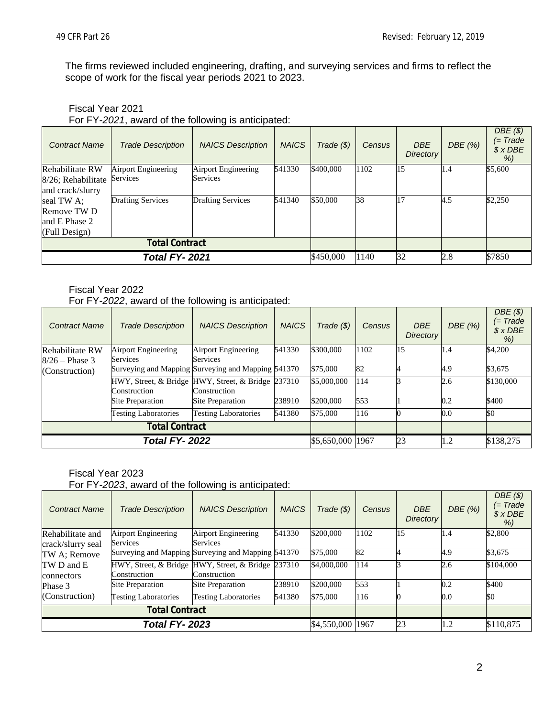The firms reviewed included engineering, drafting, and surveying services and firms to reflect the scope of work for the fiscal year periods 2021 to 2023.

#### Fiscal Year 2021

For FY-*2021*, award of the following is anticipated:

| <b>Contract Name</b>  | <b>Trade Description</b> | <b>NAICS Description</b> | <b>NAICS</b> | Trade $(\$)$ | <b>Census</b> | <b>DBE</b><br>Directory | DBE (%) | DBE(S)<br>(= Trade<br>$$X$ DBE<br>% |
|-----------------------|--------------------------|--------------------------|--------------|--------------|---------------|-------------------------|---------|-------------------------------------|
| Rehabilitate RW       | Airport Engineering      | Airport Engineering      | 541330       | \$400,000    | 1102          | 15                      | 1.4     | \$5,600                             |
| 8/26; Rehabilitate    | Services                 | Services                 |              |              |               |                         |         |                                     |
| and crack/slurry      |                          |                          |              |              |               |                         |         |                                     |
| seal TW A:            | <b>Drafting Services</b> | <b>Drafting Services</b> | 541340       | \$50,000     | 38            | 17                      | 4.5     | \$2,250                             |
| Remove TW D           |                          |                          |              |              |               |                         |         |                                     |
| and E Phase 2         |                          |                          |              |              |               |                         |         |                                     |
| (Full Design)         |                          |                          |              |              |               |                         |         |                                     |
| <b>Total Contract</b> |                          |                          |              |              |               |                         |         |                                     |
| <b>Total FY-2021</b>  |                          |                          | \$450,000    | 1140         | 32            | 2.8                     | \$7850  |                                     |

#### Fiscal Year 2022 For FY-*2022*, award of the following is anticipated:

| <b>Contract Name</b>  | <b>Trade Description</b>                                           | <b>NAICS Description</b>    | <b>NAICS</b>      | $Trade(\$))$ | <b>Census</b> | <b>DBE</b><br>Directory | DBE(%)    | DBE(S)<br>$(= Trade)$<br>$$X$ DBE<br>% |
|-----------------------|--------------------------------------------------------------------|-----------------------------|-------------------|--------------|---------------|-------------------------|-----------|----------------------------------------|
| Rehabilitate RW       | Airport Engineering                                                | Airport Engineering         | 541330            | \$300,000    | 1102          | 15                      | 1.4       | \$4,200                                |
| $8/26$ – Phase 3      | <b>Services</b>                                                    | Services                    |                   |              |               |                         |           |                                        |
| (Construction)        | Surveying and Mapping Surveying and Mapping 541370                 |                             |                   | \$75,000     | 82            |                         | 4.9       | \$3,675                                |
|                       | HWY, Street, & Bridge HWY, Street, & Bridge 237310<br>Construction | Construction                |                   | \$5,000,000  | 114           | R                       | 2.6       | \$130,000                              |
|                       | Site Preparation                                                   | Site Preparation            | 238910            | \$200,000    | 553           |                         | 0.2       | \$400                                  |
|                       | <b>Testing Laboratories</b>                                        | <b>Testing Laboratories</b> | 541380            | \$75,000     | 116           |                         | 0.0       | $\boldsymbol{\mathbb{S}}$              |
| <b>Total Contract</b> |                                                                    |                             |                   |              |               |                         |           |                                        |
| <b>Total FY-2022</b>  |                                                                    |                             | \$5,650,000  1967 |              | 23            | 1.2                     | \$138,275 |                                        |

Fiscal Year 2023

For FY-*2023*, award of the following is anticipated:

| <b>Contract Name</b>              | <b>Trade Description</b>                                           | <b>NAICS Description</b>               | <b>NAICS</b> | Trade (\$)       | <b>Census</b> | <b>DBE</b><br>Directory | DBE(%) | DBE(S)<br>(= Trade<br>$$x$ DBE<br>% |
|-----------------------------------|--------------------------------------------------------------------|----------------------------------------|--------------|------------------|---------------|-------------------------|--------|-------------------------------------|
| Rehabilitate and                  | Airport Engineering<br>Services                                    | Airport Engineering<br><b>Services</b> | 541330       | \$200,000        | 1102          | 15                      | 1.4    | \$2,800                             |
| crack/slurry seal<br>TW A; Remove | Surveying and Mapping Surveying and Mapping 541370                 |                                        |              | \$75,000         | 82            |                         | 4.9    | \$3,675                             |
| TW D and E<br>connectors          | HWY, Street, & Bridge HWY, Street, & Bridge 237310<br>Construction | Construction                           |              | \$4,000,000      | 114           |                         | 2.6    | \$104,000                           |
| Phase 3                           | Site Preparation                                                   | Site Preparation                       | 238910       | \$200,000        | 553           |                         | 0.2    | \$400                               |
| (Construction)                    | <b>Testing Laboratories</b>                                        | <b>Testing Laboratories</b>            | 541380       | \$75,000         | 116           |                         | 0.0    | <b>SO</b>                           |
| <b>Total Contract</b>             |                                                                    |                                        |              |                  |               |                         |        |                                     |
| <b>Total FY-2023</b>              |                                                                    |                                        |              | \$4,550,000 1967 |               | 23                      | 1.2    | \$110,875                           |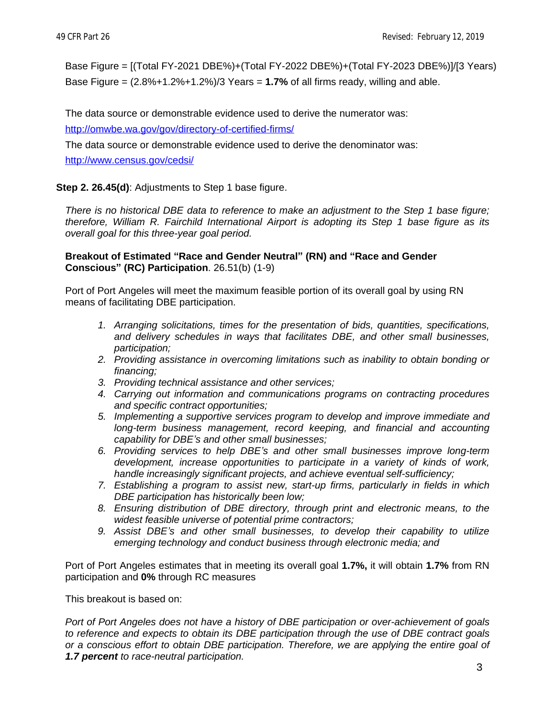Base Figure = [(Total FY-2021 DBE%)+(Total FY-2022 DBE%)+(Total FY-2023 DBE%)]/[3 Years) Base Figure = (2.8%+1.2%+1.2%)/3 Years = **1.7%** of all firms ready, willing and able.

The data source or demonstrable evidence used to derive the numerator was:

<http://omwbe.wa.gov/gov/directory-of-certified-firms/>

The data source or demonstrable evidence used to derive the denominator was: <http://www.census.gov/cedsi/>

# **Step 2. 26.45(d)**: Adjustments to Step 1 base figure.

*There is no historical DBE data to reference to make an adjustment to the Step 1 base figure; therefore, William R. Fairchild International Airport is adopting its Step 1 base figure as its overall goal for this three-year goal period.*

#### **Breakout of Estimated "Race and Gender Neutral" (RN) and "Race and Gender Conscious" (RC) Participation**. 26.51(b) (1-9)

Port of Port Angeles will meet the maximum feasible portion of its overall goal by using RN means of facilitating DBE participation.

- *1. Arranging solicitations, times for the presentation of bids, quantities, specifications, and delivery schedules in ways that facilitates DBE, and other small businesses, participation;*
- *2. Providing assistance in overcoming limitations such as inability to obtain bonding or financing;*
- *3. Providing technical assistance and other services;*
- *4. Carrying out information and communications programs on contracting procedures and specific contract opportunities;*
- *5. Implementing a supportive services program to develop and improve immediate and long-term business management, record keeping, and financial and accounting capability for DBE's and other small businesses;*
- *6. Providing services to help DBE's and other small businesses improve long-term development, increase opportunities to participate in a variety of kinds of work, handle increasingly significant projects, and achieve eventual self-sufficiency;*
- *7. Establishing a program to assist new, start-up firms, particularly in fields in which DBE participation has historically been low;*
- *8. Ensuring distribution of DBE directory, through print and electronic means, to the widest feasible universe of potential prime contractors;*
- *9. Assist DBE's and other small businesses, to develop their capability to utilize emerging technology and conduct business through electronic media; and*

Port of Port Angeles estimates that in meeting its overall goal **1.7%,** it will obtain **1.7%** from RN participation and **0%** through RC measures

This breakout is based on:

*Port of Port Angeles does not have a history of DBE participation or over-achievement of goals to reference and expects to obtain its DBE participation through the use of DBE contract goals or a conscious effort to obtain DBE participation. Therefore, we are applying the entire goal of 1.7 percent to race-neutral participation.*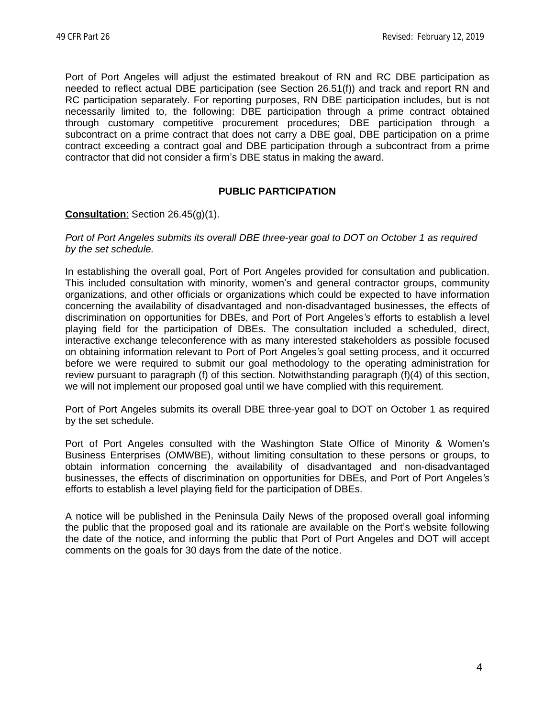Port of Port Angeles will adjust the estimated breakout of RN and RC DBE participation as needed to reflect actual DBE participation (see Section 26.51(f)) and track and report RN and RC participation separately. For reporting purposes, RN DBE participation includes, but is not necessarily limited to, the following: DBE participation through a prime contract obtained through customary competitive procurement procedures; DBE participation through a subcontract on a prime contract that does not carry a DBE goal, DBE participation on a prime contract exceeding a contract goal and DBE participation through a subcontract from a prime contractor that did not consider a firm's DBE status in making the award.

# **PUBLIC PARTICIPATION**

## **Consultation**: Section 26.45(g)(1).

#### *Port of Port Angeles submits its overall DBE three-year goal to DOT on October 1 as required by the set schedule.*

In establishing the overall goal, Port of Port Angeles provided for consultation and publication. This included consultation with minority, women's and general contractor groups, community organizations, and other officials or organizations which could be expected to have information concerning the availability of disadvantaged and non-disadvantaged businesses, the effects of discrimination on opportunities for DBEs, and Port of Port Angeles*'s* efforts to establish a level playing field for the participation of DBEs. The consultation included a scheduled, direct, interactive exchange teleconference with as many interested stakeholders as possible focused on obtaining information relevant to Port of Port Angeles*'s* goal setting process, and it occurred before we were required to submit our goal methodology to the operating administration for review pursuant to paragraph (f) of this section. Notwithstanding paragraph (f)(4) of this section, we will not implement our proposed goal until we have complied with this requirement.

Port of Port Angeles submits its overall DBE three-year goal to DOT on October 1 as required by the set schedule.

Port of Port Angeles consulted with the Washington State Office of Minority & Women's Business Enterprises (OMWBE), without limiting consultation to these persons or groups, to obtain information concerning the availability of disadvantaged and non-disadvantaged businesses, the effects of discrimination on opportunities for DBEs, and Port of Port Angeles*'s* efforts to establish a level playing field for the participation of DBEs.

A notice will be published in the Peninsula Daily News of the proposed overall goal informing the public that the proposed goal and its rationale are available on the Port's website following the date of the notice, and informing the public that Port of Port Angeles and DOT will accept comments on the goals for 30 days from the date of the notice.